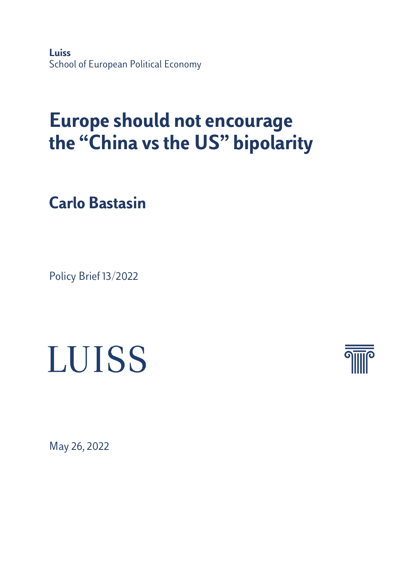**Luiss**  School of European Political Economy

# **Europe should not encourage the "China vs the US" bipolarity**

**Carlo Bastasin**

Policy Brief 13/2022

# **LUISS**



May 26, 2022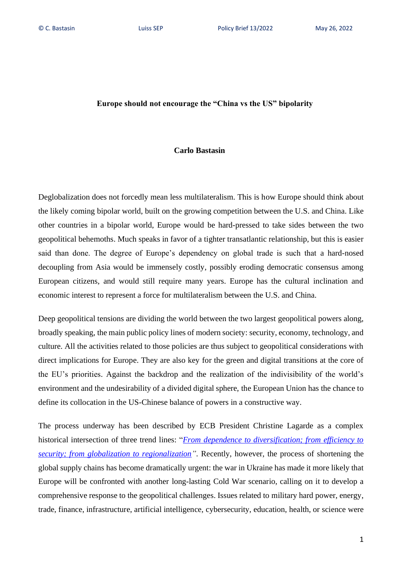## **Europe should not encourage the "China vs the US" bipolarity**

#### **Carlo Bastasin**

Deglobalization does not forcedly mean less multilateralism. This is how Europe should think about the likely coming bipolar world, built on the growing competition between the U.S. and China. Like other countries in a bipolar world, Europe would be hard-pressed to take sides between the two geopolitical behemoths. Much speaks in favor of a tighter transatlantic relationship, but this is easier said than done. The degree of Europe's dependency on global trade is such that a hard-nosed decoupling from Asia would be immensely costly, possibly eroding democratic consensus among European citizens, and would still require many years. Europe has the cultural inclination and economic interest to represent a force for multilateralism between the U.S. and China.

Deep geopolitical tensions are dividing the world between the two largest geopolitical powers along, broadly speaking, the main public policy lines of modern society: security, economy, technology, and culture. All the activities related to those policies are thus subject to geopolitical considerations with direct implications for Europe. They are also key for the green and digital transitions at the core of the EU's priorities. Against the backdrop and the realization of the indivisibility of the world's environment and the undesirability of a divided digital sphere, the European Union has the chance to define its collocation in the US-Chinese balance of powers in a constructive way.

The process underway has been described by ECB President Christine Lagarde as a complex historical intersection of three trend lines: "*[From dependence to diversification; from efficiency to](https://www.ecb.europa.eu/press/key/date/2022/html/ecb.sp220422~c43af3db20.en.html)  [security; from globalization to regionalization"](https://www.ecb.europa.eu/press/key/date/2022/html/ecb.sp220422~c43af3db20.en.html)*. Recently, however, the process of shortening the global supply chains has become dramatically urgent: the war in Ukraine has made it more likely that Europe will be confronted with another long-lasting Cold War scenario, calling on it to develop a comprehensive response to the geopolitical challenges. Issues related to military hard power, energy, trade, finance, infrastructure, artificial intelligence, cybersecurity, education, health, or science were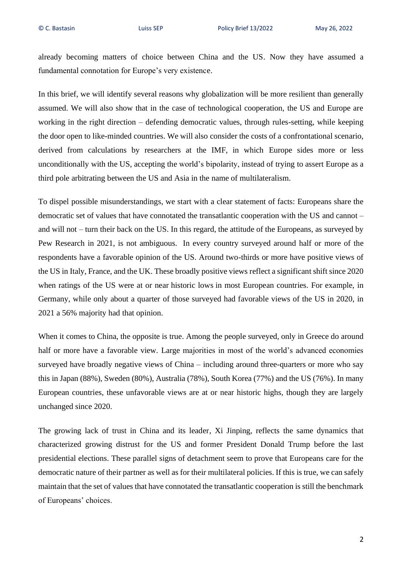already becoming matters of choice between China and the US. Now they have assumed a fundamental connotation for Europe's very existence.

In this brief, we will identify several reasons why globalization will be more resilient than generally assumed. We will also show that in the case of technological cooperation, the US and Europe are working in the right direction – defending democratic values, through rules-setting, while keeping the door open to like-minded countries. We will also consider the costs of a confrontational scenario, derived from calculations by researchers at the IMF, in which Europe sides more or less unconditionally with the US, accepting the world's bipolarity, instead of trying to assert Europe as a third pole arbitrating between the US and Asia in the name of multilateralism.

To dispel possible misunderstandings, we start with a clear statement of facts: Europeans share the democratic set of values that have connotated the transatlantic cooperation with the US and cannot – and will not – turn their back on the US. In this regard, the attitude of the Europeans, as surveyed by Pew Research in 2021, is not ambiguous. In every country surveyed around half or more of the respondents have a favorable opinion of the US. Around two-thirds or more have positive views of the US in Italy, France, and the UK. These broadly positive views reflect a significant shift since 2020 when ratings of the US were at or near historic lows in most European countries. For example, in Germany, while only about a quarter of those surveyed had favorable views of the US in 2020, in 2021 a 56% majority had that opinion.

When it comes to China, the opposite is true. Among the people surveyed, only in Greece do around half or more have a favorable view. Large majorities in most of the world's advanced economies surveyed have broadly negative views of China – including around three-quarters or more who say this in Japan (88%), Sweden (80%), Australia (78%), South Korea (77%) and the US (76%). In many European countries, these unfavorable views are at or near historic highs, though they are largely unchanged since 2020.

The growing lack of trust in China and its leader, Xi Jinping, reflects the same dynamics that characterized growing distrust for the US and former President Donald Trump before the last presidential elections. These parallel signs of detachment seem to prove that Europeans care for the democratic nature of their partner as well as for their multilateral policies. If this is true, we can safely maintain that the set of values that have connotated the transatlantic cooperation is still the benchmark of Europeans' choices.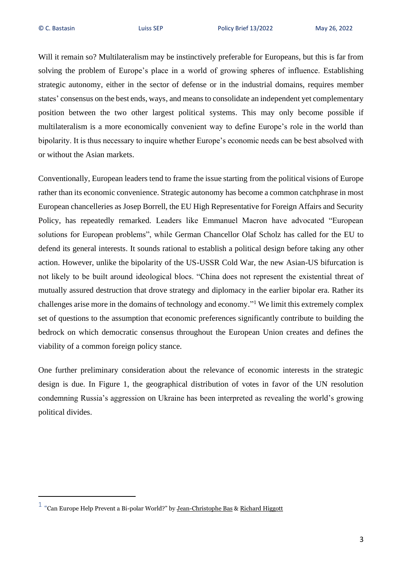Will it remain so? Multilateralism may be instinctively preferable for Europeans, but this is far from solving the problem of Europe's place in a world of growing spheres of influence. Establishing strategic autonomy, either in the sector of defense or in the industrial domains, requires member states' consensus on the best ends, ways, and means to consolidate an independent yet complementary position between the two other largest political systems. This may only become possible if multilateralism is a more economically convenient way to define Europe's role in the world than bipolarity. It is thus necessary to inquire whether Europe's economic needs can be best absolved with or without the Asian markets.

Conventionally, European leaders tend to frame the issue starting from the political visions of Europe rather than its economic convenience. Strategic autonomy has become a common catchphrase in most European chancelleries as Josep Borrell, the EU High Representative for Foreign Affairs and Security Policy, has repeatedly remarked. Leaders like Emmanuel Macron have advocated "European solutions for European problems", while German Chancellor Olaf Scholz has called for the EU to defend its general interests. It sounds rational to establish a political design before taking any other action. However, unlike the bipolarity of the US-USSR Cold War, the new Asian-US bifurcation is not likely to be built around ideological blocs. "China does not represent the existential threat of mutually assured destruction that drove strategy and diplomacy in the earlier bipolar era. Rather its challenges arise more in the domains of technology and economy."<sup>1</sup> We limit this extremely complex set of questions to the assumption that economic preferences significantly contribute to building the bedrock on which democratic consensus throughout the European Union creates and defines the viability of a common foreign policy stance.

One further preliminary consideration about the relevance of economic interests in the strategic design is due. In Figure 1, the geographical distribution of votes in favor of the UN resolution condemning Russia's aggression on Ukraine has been interpreted as revealing the world's growing political divides.

 $1$  "Can Europe Help Prevent a Bi-polar World?" by [Jean-Christophe Bas](https://link.springer.com/chapter/10.1007/978-981-16-5391-9_24#auth-Jean_Christophe-Bas) & [Richard Higgott](https://link.springer.com/chapter/10.1007/978-981-16-5391-9_24#auth-Richard-Higgott)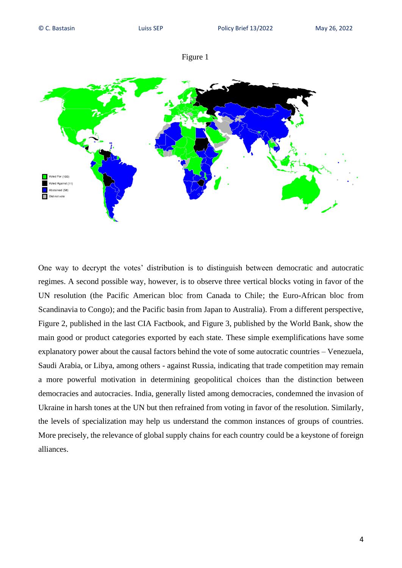



One way to decrypt the votes' distribution is to distinguish between democratic and autocratic regimes. A second possible way, however, is to observe three vertical blocks voting in favor of the UN resolution (the Pacific American bloc from Canada to Chile; the Euro-African bloc from Scandinavia to Congo); and the Pacific basin from Japan to Australia). From a different perspective, Figure 2, published in the last CIA Factbook, and Figure 3, published by the World Bank, show the main good or product categories exported by each state. These simple exemplifications have some explanatory power about the causal factors behind the vote of some autocratic countries – Venezuela, Saudi Arabia, or Libya, among others - against Russia, indicating that trade competition may remain a more powerful motivation in determining geopolitical choices than the distinction between democracies and autocracies. India, generally listed among democracies, condemned the invasion of Ukraine in harsh tones at the UN but then refrained from voting in favor of the resolution. Similarly, the levels of specialization may help us understand the common instances of groups of countries. More precisely, the relevance of global supply chains for each country could be a keystone of foreign alliances.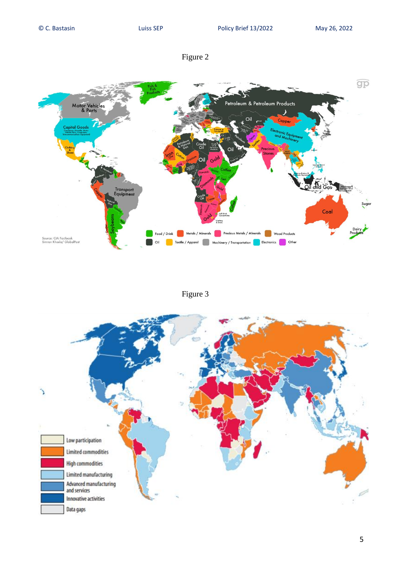

# Figure 3

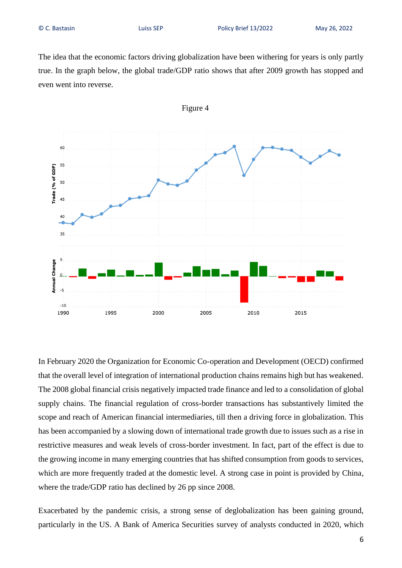The idea that the economic factors driving globalization have been withering for years is only partly true. In the graph below, the global trade/GDP ratio shows that after 2009 growth has stopped and even went into reverse.



In February 2020 the Organization for Economic Co-operation and Development (OECD) confirmed that the overall level of integration of international production chains remains high but has weakened. The 2008 global financial crisis negatively impacted trade finance and led to a consolidation of global supply chains. The financial regulation of cross-border transactions has substantively limited the scope and reach of American financial intermediaries, till then a driving force in globalization. This has been accompanied by a slowing down of international trade growth due to issues such as a rise in restrictive measures and weak levels of cross-border investment. In fact, part of the effect is due to the growing income in many emerging countries that has shifted consumption from goods to services, which are more frequently traded at the domestic level. A strong case in point is provided by China, where the trade/GDP ratio has declined by 26 pp since 2008.

Exacerbated by the pandemic crisis, a strong sense of deglobalization has been gaining ground, particularly in the US. A Bank of America Securities survey of analysts conducted in 2020, which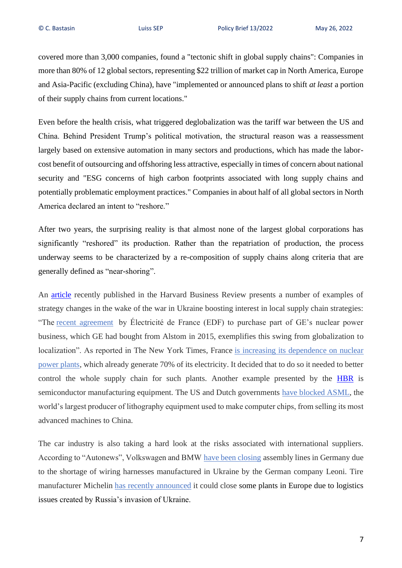covered more than 3,000 companies, found a "tectonic shift in global supply chains": Companies in more than 80% of 12 global sectors, representing \$22 trillion of market cap in North America, Europe and Asia-Pacific (excluding China), have "implemented or announced plans to shift *at least* a portion of their supply chains from current locations."

Even before the health crisis, what triggered deglobalization was the tariff war between the US and China. Behind President Trump's political motivation, the structural reason was a reassessment largely based on extensive automation in many sectors and productions, which has made the laborcost benefit of outsourcing and offshoring less attractive, especially in times of concern about national security and "ESG concerns of high carbon footprints associated with long supply chains and potentially problematic employment practices." Companies in about half of all global sectors in North America declared an intent to "reshore."

After two years, the surprising reality is that almost none of the largest global corporations has significantly "reshored" its production. Rather than the repatriation of production, the process underway seems to be characterized by a re-composition of supply chains along criteria that are generally defined as "near-shoring".

An [article](https://hbr.org/2022/03/how-the-war-in-ukraine-is-further-disrupting-global-supply-chains) recently published in the Harvard Business Review presents a number of examples of strategy changes in the wake of the war in Ukraine boosting interest in local supply chain strategies: "The <u>[recent agreement](https://www.ge.com/news/press-releases/ge-signs-an-exclusive-agreement-to-sell-part-of-steam-powers-nuclear-activities-to)</u> by Électricité de France (EDF) to purchase part of GE's nuclear power business, which GE had bought from Alstom in 2015, exemplifies this swing from globalization to localization". As reported in The New York Times, France [is increasing its dependence on nuclear](https://www.nytimes.com/2022/02/10/world/europe/france-macron-nuclear-power.html#:~:text=President%20Emmanuel%20Macron%20announced%20a,its%20reliance%20on%20foreign%20energy.)  [power plants,](https://www.nytimes.com/2022/02/10/world/europe/france-macron-nuclear-power.html#:~:text=President%20Emmanuel%20Macron%20announced%20a,its%20reliance%20on%20foreign%20energy.) which already generate 70% of its electricity. It decided that to do so it needed to better control the whole supply chain for such plants. Another example presented by the **[HBR](https://hbr.org/2022/03/how-the-war-in-ukraine-is-further-disrupting-global-supply-chains)** is semiconductor manufacturing equipment. The US and Dutch governments [have blocked ASML,](https://www.wired.com/story/europe-asml-chip-shortage/#:~:text=7%3A00%20AM-,US%2DChina%20Trade%20Tensions%20Threaten%20Europe) the world's largest producer of lithography equipment used to make computer chips, from selling its most advanced machines to China.

The car industry is also taking a hard look at the risks associated with international suppliers. According to "Autonews", Volkswagen and BMW [have been closing](https://europe.autonews.com/suppliers/europes-automakers-scramble-replace-ukrainian-auto-parts) assembly lines in Germany due to the shortage of wiring harnesses manufactured in Ukraine by the German company Leoni. Tire manufacturer Michelin [has recently announced](https://www.michelin.com/en/press-releases/consequences-of-the-conflict-in-ukraine/) it could close some plants in Europe due to logistics issues created by Russia's invasion of Ukraine.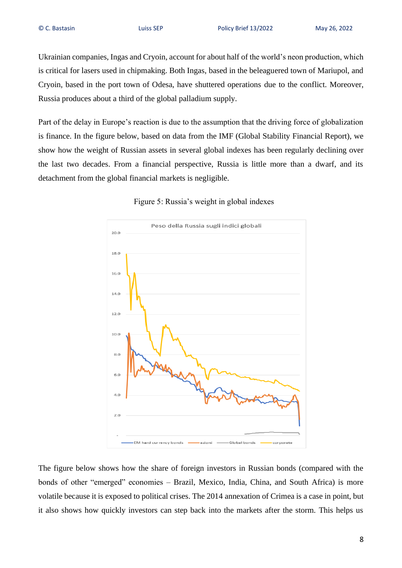Ukrainian companies, Ingas and Cryoin, account for about half of the world's neon production, which is critical for lasers used in chipmaking. Both Ingas, based in the beleaguered town of Mariupol, and Cryoin, based in the port town of Odesa, have shuttered operations due to the conflict. Moreover, Russia produces about a third of the global palladium supply.

Part of the delay in Europe's reaction is due to the assumption that the driving force of globalization is finance. In the figure below, based on data from the IMF (Global Stability Financial Report), we show how the weight of Russian assets in several global indexes has been regularly declining over the last two decades. From a financial perspective, Russia is little more than a dwarf, and its detachment from the global financial markets is negligible.



### Figure 5: Russia's weight in global indexes

The figure below shows how the share of foreign investors in Russian bonds (compared with the bonds of other "emerged" economies – Brazil, Mexico, India, China, and South Africa) is more volatile because it is exposed to political crises. The 2014 annexation of Crimea is a case in point, but it also shows how quickly investors can step back into the markets after the storm. This helps us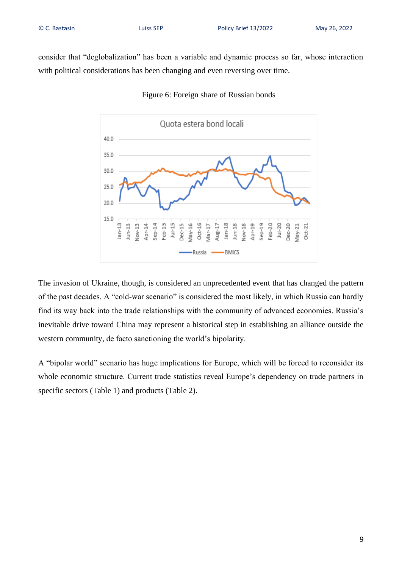consider that "deglobalization" has been a variable and dynamic process so far, whose interaction with political considerations has been changing and even reversing over time.



#### Figure 6: Foreign share of Russian bonds

The invasion of Ukraine, though, is considered an unprecedented event that has changed the pattern of the past decades. A "cold-war scenario" is considered the most likely, in which Russia can hardly find its way back into the trade relationships with the community of advanced economies. Russia's inevitable drive toward China may represent a historical step in establishing an alliance outside the western community, de facto sanctioning the world's bipolarity.

A "bipolar world" scenario has huge implications for Europe, which will be forced to reconsider its whole economic structure. Current trade statistics reveal Europe's dependency on trade partners in specific sectors (Table 1) and products (Table 2).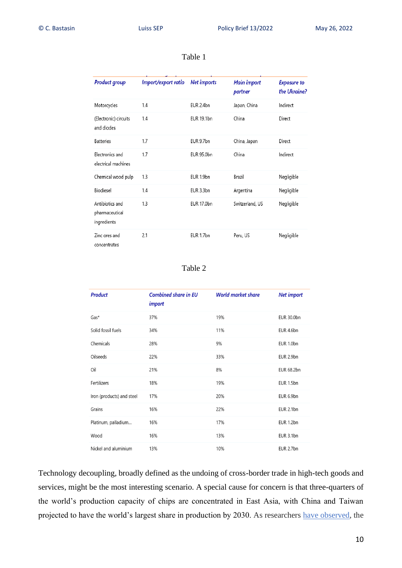| <b>Product group</b>                             | Import/export ratio | <b>Net imports</b> | <b>Main import</b><br>partner | <b>Exposure to</b><br>the Ukraine? |
|--------------------------------------------------|---------------------|--------------------|-------------------------------|------------------------------------|
| Motorcycles                                      | 1.4                 | EUR 2.4bn          | Japan, China                  | Indirect                           |
| (Electronic) circuits<br>and diodes              | 1.4                 | EUR 19.1bn         | China                         | Direct                             |
| <b>Batteries</b>                                 | 1.7                 | EUR 9.7bn          | China, Japan                  | Direct                             |
| Electronics and<br>electrical machines           | 1.7                 | EUR 95.0bn         | China                         | Indirect                           |
| Chemical wood pulp                               | 1.3                 | EUR 1.9bn          | Brazil                        | Negligible                         |
| Biodiesel                                        | 1.4                 | EUR 3.3bn          | Argentina                     | Negligible                         |
| Antibiotics and<br>pharmaceutical<br>ingredients | 1.3                 | <b>EUR 17.0bn</b>  | Switzerland, US               | Negligible                         |
| Zinc ores and<br>concentrates                    | 2.1                 | EUR 1.7bn          | Peru, US                      | Negligible                         |

# Table 1

Table 2

| <b>Product</b>            | <b>Combined share in EU</b><br>import | <b>World market share</b> | <b>Net import</b> |
|---------------------------|---------------------------------------|---------------------------|-------------------|
| $Gas*$                    | 37%                                   | 19%                       | <b>EUR 30.0bn</b> |
| Solid fossil fuels        | 34%                                   | 11%                       | EUR 4.6bn         |
| Chemicals                 | 28%                                   | 9%                        | EUR 1.0bn         |
| Oilseeds                  | 22%                                   | 33%                       | EUR 2.9bn         |
| Oil                       | 21%                                   | 8%                        | <b>EUR 68.2bn</b> |
| Fertilizers               | 18%                                   | 19%                       | EUR 1.5bn         |
| Iron (products) and steel | 17%                                   | 20%                       | EUR 6.9bn         |
| Grains                    | 16%                                   | 22%                       | <b>EUR 2.1bn</b>  |
| Platinum, palladium       | 16%                                   | 17%                       | EUR 1.2bn         |
| Wood                      | 16%                                   | 13%                       | EUR 3.1bn         |
| Nickel and aluminium      | 13%                                   | 10%                       | EUR 2.7bn         |

Technology decoupling, broadly defined as the undoing of cross-border trade in high-tech goods and services, might be the most interesting scenario. A special cause for concern is that three-quarters of the world's production capacity of chips are concentrated in East Asia, with China and Taiwan projected to have the world's largest share in production by 2030. As researchers [have observed,](https://hbr.org/2020/06/building-resilient-supply-chains-wont-be-easy) the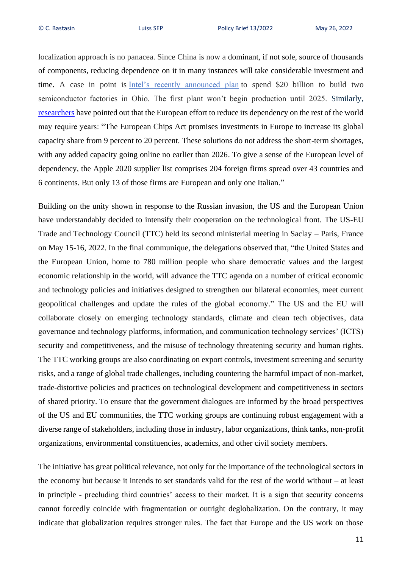localization approach is no panacea. Since China is now a dominant, if not sole, source of thousands of components, reducing dependence on it in many instances will take considerable investment and time. A case in point is [Intel's recently announced plan](https://www.nytimes.com/2022/01/21/technology/intel-chip-factories-ohio.html?partner=IFTTT) to spend \$20 billion to build two semiconductor factories in Ohio. The first plant won't begin production until 2025. Similarly, [researchers](https://www.google.com/url?sa=t&rct=j&q=&esrc=s&source=web&cd=&cad=rja&uact=8&ved=2ahUKEwjZw_Xbw_j3AhWxQvEDHeVyC_0QFnoECAcQAQ&url=https%3A%2F%2Fwww.ips-journal.eu%2Ftopics%2Feconomy-and-ecology%2Fhow-the-war-in-ukraine-impacts-global-suppy-chains-5894%2F&usg=AOvVaw0InpsCJqHV0rSmV3RL0jV2) have pointed out that the European effort to reduce its dependency on the rest of the world may require years: "The European Chips Act promises investments in Europe to increase its global capacity share from 9 percent to 20 percent. These solutions do not address the short-term shortages, with any added capacity going online no earlier than 2026. To give a sense of the European level of dependency, the Apple 2020 supplier list comprises 204 foreign firms spread over 43 countries and 6 continents. But only 13 of those firms are European and only one Italian."

Building on the unity shown in response to the Russian invasion, the US and the European Union have understandably decided to intensify their cooperation on the technological front. The US-EU Trade and Technology Council (TTC) held its second ministerial meeting in Saclay – Paris, France on May 15-16, 2022. In the final communique, the delegations observed that, "the United States and the European Union, home to 780 million people who share democratic values and the largest economic relationship in the world, will advance the TTC agenda on a number of critical economic and technology policies and initiatives designed to strengthen our bilateral economies, meet current geopolitical challenges and update the rules of the global economy." The US and the EU will collaborate closely on emerging technology standards, climate and clean tech objectives, data governance and technology platforms, information, and communication technology services' (ICTS) security and competitiveness, and the misuse of technology threatening security and human rights. The TTC working groups are also coordinating on export controls, investment screening and security risks, and a range of global trade challenges, including countering the harmful impact of non-market, trade-distortive policies and practices on technological development and competitiveness in sectors of shared priority. To ensure that the government dialogues are informed by the broad perspectives of the US and EU communities, the TTC working groups are continuing robust engagement with a diverse range of stakeholders, including those in industry, labor organizations, think tanks, non-profit organizations, environmental constituencies, academics, and other civil society members.

The initiative has great political relevance, not only for the importance of the technological sectors in the economy but because it intends to set standards valid for the rest of the world without – at least in principle - precluding third countries' access to their market. It is a sign that security concerns cannot forcedly coincide with fragmentation or outright deglobalization. On the contrary, it may indicate that globalization requires stronger rules. The fact that Europe and the US work on those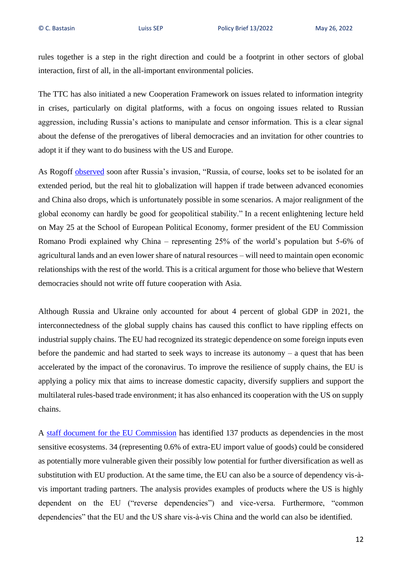rules together is a step in the right direction and could be a footprint in other sectors of global interaction, first of all, in the all-important environmental policies.

The TTC has also initiated a new Cooperation Framework on issues related to information integrity in crises, particularly on digital platforms, with a focus on ongoing issues related to Russian aggression, including Russia's actions to manipulate and censor information. This is a clear signal about the defense of the prerogatives of liberal democracies and an invitation for other countries to adopt it if they want to do business with the US and Europe.

As Rogoff [observed](https://www.imf.org/en/Publications/fandd/issues/2022/03/the-long-lasting-economic-shock-of-war) soon after Russia's invasion, "Russia, of course, looks set to be isolated for an extended period, but the real hit to globalization will happen if trade between advanced economies and China also drops, which is unfortunately possible in some scenarios. A major realignment of the global economy can hardly be good for geopolitical stability." In a recent enlightening lecture held on May 25 at the School of European Political Economy, former president of the EU Commission Romano Prodi explained why China – representing 25% of the world's population but 5-6% of agricultural lands and an even lower share of natural resources – will need to maintain open economic relationships with the rest of the world. This is a critical argument for those who believe that Western democracies should not write off future cooperation with Asia.

Although Russia and Ukraine only accounted for about 4 percent of global GDP in 2021, the interconnectedness of the global supply chains has caused this conflict to have rippling effects on industrial supply chains. The EU had recognized its strategic dependence on some foreign inputs even before the pandemic and had started to seek ways to increase its autonomy – a quest that has been accelerated by the impact of the coronavirus. To improve the resilience of supply chains, the EU is applying a policy mix that aims to increase domestic capacity, diversify suppliers and support the multilateral rules-based trade environment; it has also enhanced its cooperation with the US on supply chains.

A [staff document for the EU Commission](https://ec.europa.eu/info/sites/default/files/swd-strategic-dependencies-capacities_en.pdf) has identified 137 products as dependencies in the most sensitive ecosystems. 34 (representing 0.6% of extra-EU import value of goods) could be considered as potentially more vulnerable given their possibly low potential for further diversification as well as substitution with EU production. At the same time, the EU can also be a source of dependency vis-à vis important trading partners. The analysis provides examples of products where the US is highly dependent on the EU ("reverse dependencies") and vice-versa. Furthermore, "common dependencies" that the EU and the US share vis-à-vis China and the world can also be identified.